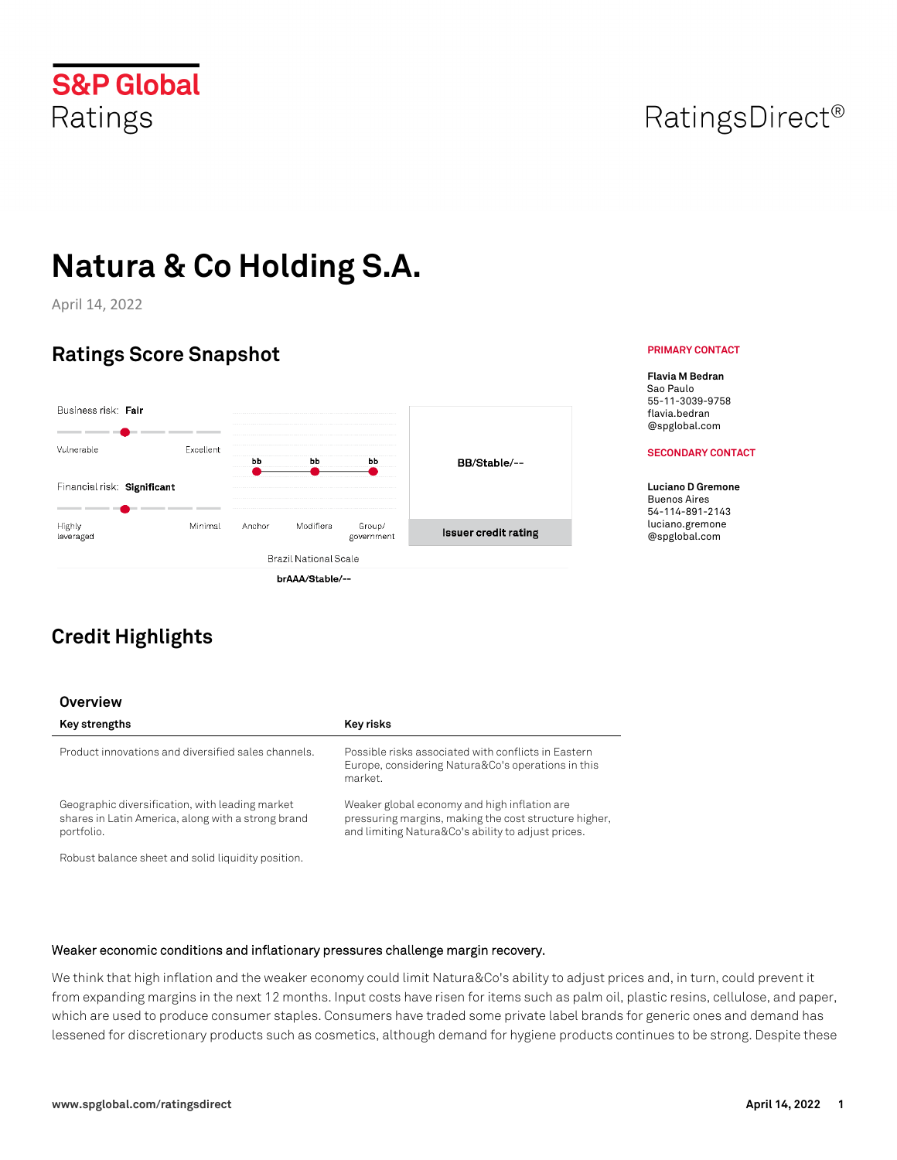April 14, 2022

# **Ratings Score Snapshot**

| Business risk: Fair         |           |        |                              |                      |                             |
|-----------------------------|-----------|--------|------------------------------|----------------------|-----------------------------|
| Vulnerable                  | Excellent | bЬ     | bb                           | ьь                   | BB/Stable/--                |
| Financial risk: Significant |           |        |                              |                      |                             |
| Highly<br>leveraged         | Minimal   | Anchor | Modifiers                    | Group/<br>government | <b>Issuer credit rating</b> |
|                             |           |        | <b>Brazil National Scale</b> |                      |                             |
|                             |           |        | brAAA/Stable/--              |                      |                             |

# **Credit Highlights**

## **Overview**

| Key strengths                                                                                                       | Key risks                                                                                                                                                   |
|---------------------------------------------------------------------------------------------------------------------|-------------------------------------------------------------------------------------------------------------------------------------------------------------|
| Product innovations and diversified sales channels.                                                                 | Possible risks associated with conflicts in Fastern<br>Europe, considering Natura&Co's operations in this<br>market.                                        |
| Geographic diversification, with leading market<br>shares in Latin America, along with a strong brand<br>portfolio. | Weaker global economy and high inflation are<br>pressuring margins, making the cost structure higher,<br>and limiting Natura&Co's ability to adjust prices. |
| Robust balance sheet and solid liquidity position.                                                                  |                                                                                                                                                             |

#### **Weaker economic conditions and inflationary pressures challenge margin recovery.**

We think that high inflation and the weaker economy could limit Natura&Co's ability to adjust prices and, in turn, could prevent it from expanding margins in the next 12 months. Input costs have risen for items such as palm oil, plastic resins, cellulose, and paper, which are used to produce consumer staples. Consumers have traded some private label brands for generic ones and demand has lessened for discretionary products such as cosmetics, although demand for hygiene products continues to be strong. Despite these

# RatingsDirect<sup>®</sup>

#### **PRIMARY CONTACT**

**Flavia M Bedran** Sao Paulo 55-11-3039-9758 flavia.bedran @spglobal.com

#### **SECONDARY CONTACT**

**Luciano D Gremone**  Buenos Aires 54-114-891-2143 luciano.gremone @spglobal.com

**S&P Global** Ratings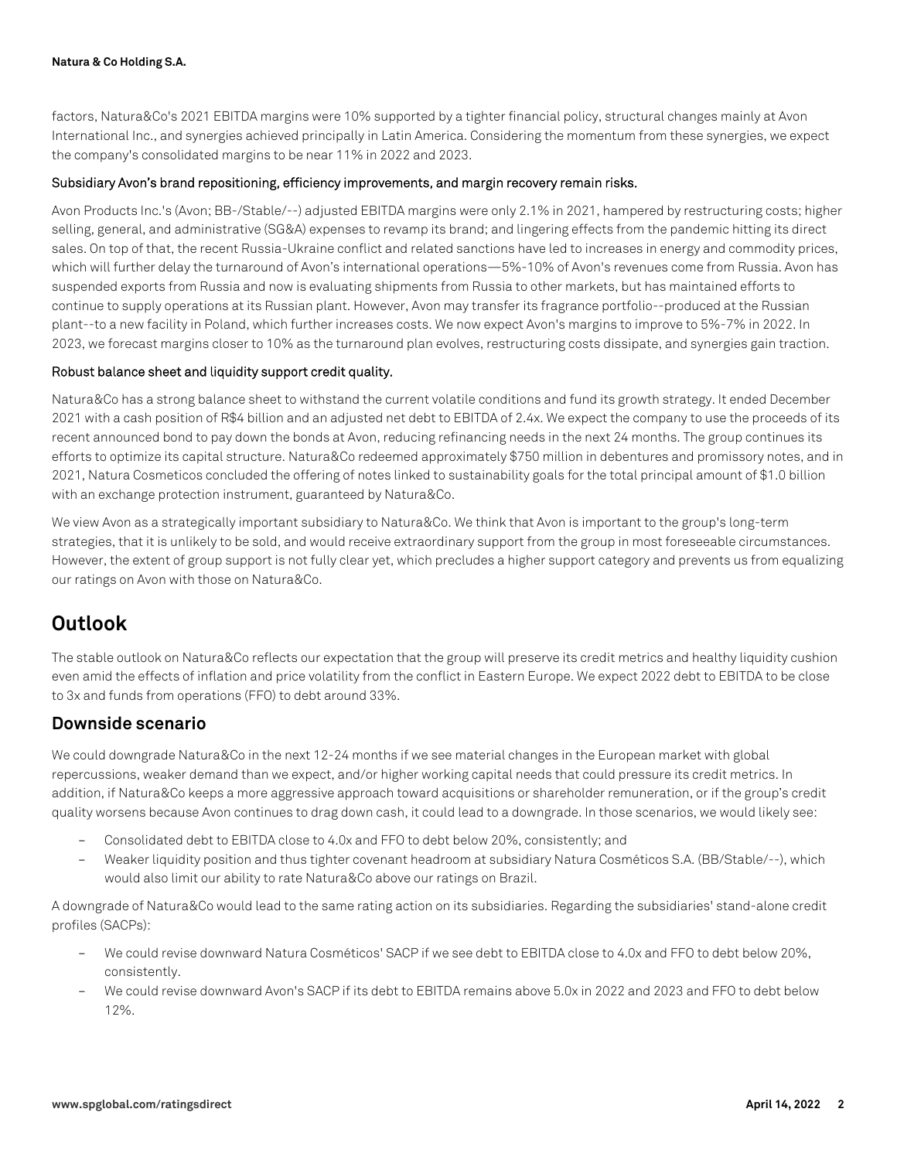factors, Natura&Co's 2021 EBITDA margins were 10% supported by a tighter financial policy, structural changes mainly at Avon International Inc., and synergies achieved principally in Latin America. Considering the momentum from these synergies, we expect the company's consolidated margins to be near 11% in 2022 and 2023.

#### **Subsidiary Avon's brand repositioning, efficiency improvements, and margin recovery remain risks.**

Avon Products Inc.'s (Avon; BB-/Stable/--) adjusted EBITDA margins were only 2.1% in 2021, hampered by restructuring costs; higher selling, general, and administrative (SG&A) expenses to revamp its brand; and lingering effects from the pandemic hitting its direct sales. On top of that, the recent Russia-Ukraine conflict and related sanctions have led to increases in energy and commodity prices, which will further delay the turnaround of Avon's international operations—5%-10% of Avon's revenues come from Russia. Avon has suspended exports from Russia and now is evaluating shipments from Russia to other markets, but has maintained efforts to continue to supply operations at its Russian plant. However, Avon may transfer its fragrance portfolio--produced at the Russian plant--to a new facility in Poland, which further increases costs. We now expect Avon's margins to improve to 5%-7% in 2022. In 2023, we forecast margins closer to 10% as the turnaround plan evolves, restructuring costs dissipate, and synergies gain traction.

#### **Robust balance sheet and liquidity support credit quality.**

Natura&Co has a strong balance sheet to withstand the current volatile conditions and fund its growth strategy. It ended December 2021 with a cash position of R\$4 billion and an adjusted net debt to EBITDA of 2.4x. We expect the company to use the proceeds of its recent announced bond to pay down the bonds at Avon, reducing refinancing needs in the next 24 months. The group continues its efforts to optimize its capital structure. Natura&Co redeemed approximately \$750 million in debentures and promissory notes, and in 2021, Natura Cosmeticos concluded the offering of notes linked to sustainability goals for the total principal amount of \$1.0 billion with an exchange protection instrument, guaranteed by Natura&Co.

We view Avon as a strategically important subsidiary to Natura&Co. We think that Avon is important to the group's long-term strategies, that it is unlikely to be sold, and would receive extraordinary support from the group in most foreseeable circumstances. However, the extent of group support is not fully clear yet, which precludes a higher support category and prevents us from equalizing our ratings on Avon with those on Natura&Co.

# **Outlook**

The stable outlook on Natura&Co reflects our expectation that the group will preserve its credit metrics and healthy liquidity cushion even amid the effects of inflation and price volatility from the conflict in Eastern Europe. We expect 2022 debt to EBITDA to be close to 3x and funds from operations (FFO) to debt around 33%.

## **Downside scenario**

We could downgrade Natura&Co in the next 12-24 months if we see material changes in the European market with global repercussions, weaker demand than we expect, and/or higher working capital needs that could pressure its credit metrics. In addition, if Natura&Co keeps a more aggressive approach toward acquisitions or shareholder remuneration, or if the group's credit quality worsens because Avon continues to drag down cash, it could lead to a downgrade. In those scenarios, we would likely see:

- Consolidated debt to EBITDA close to 4.0x and FFO to debt below 20%, consistently; and
- Weaker liquidity position and thus tighter covenant headroom at subsidiary Natura Cosméticos S.A. (BB/Stable/--), which would also limit our ability to rate Natura&Co above our ratings on Brazil.

A downgrade of Natura&Co would lead to the same rating action on its subsidiaries. Regarding the subsidiaries' stand-alone credit profiles (SACPs):

- We could revise downward Natura Cosméticos' SACP if we see debt to EBITDA close to 4.0x and FFO to debt below 20%, consistently.
- We could revise downward Avon's SACP if its debt to EBITDA remains above 5.0x in 2022 and 2023 and FFO to debt below 12%.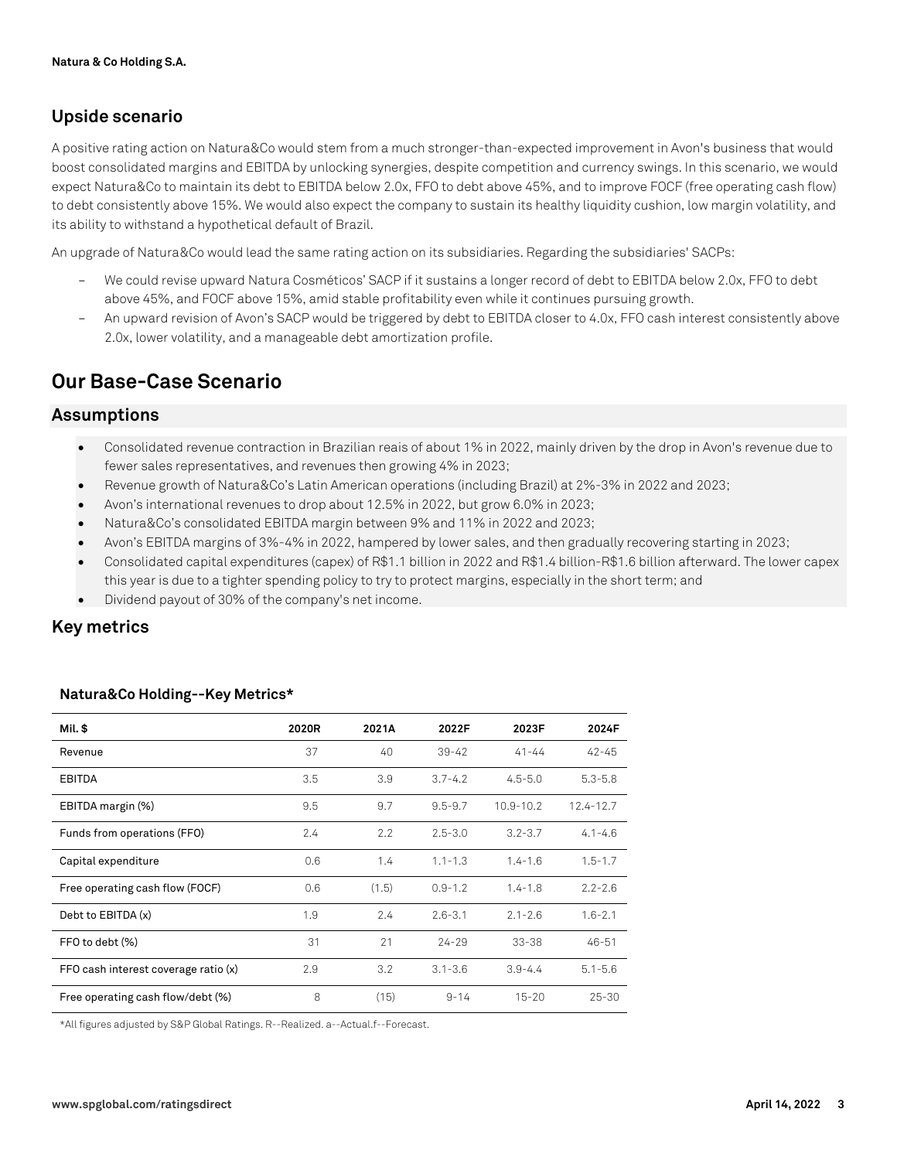## **Upside scenario**

A positive rating action on Natura&Co would stem from a much stronger-than-expected improvement in Avon's business that would boost consolidated margins and EBITDA by unlocking synergies, despite competition and currency swings. In this scenario, we would expect Natura&Co to maintain its debt to EBITDA below 2.0x, FFO to debt above 45%, and to improve FOCF (free operating cash flow) to debt consistently above 15%. We would also expect the company to sustain its healthy liquidity cushion, low margin volatility, and its ability to withstand a hypothetical default of Brazil.

An upgrade of Natura&Co would lead the same rating action on its subsidiaries. Regarding the subsidiaries' SACPs:

- We could revise upward Natura Cosméticos' SACP if it sustains a longer record of debt to EBITDA below 2.0x, FFO to debt above 45%, and FOCF above 15%, amid stable profitability even while it continues pursuing growth.
- An upward revision of Avon's SACP would be triggered by debt to EBITDA closer to 4.0x, FFO cash interest consistently above 2.0x, lower volatility, and a manageable debt amortization profile.

# **Our Base-Case Scenario**

### **Assumptions**

- Consolidated revenue contraction in Brazilian reais of about 1% in 2022, mainly driven by the drop in Avon's revenue due to fewer sales representatives, and revenues then growing 4% in 2023;
- Revenue growth of Natura&Co's Latin American operations (including Brazil) at 2%-3% in 2022 and 2023;
- Avon's international revenues to drop about 12.5% in 2022, but grow 6.0% in 2023;
- Natura&Co's consolidated EBITDA margin between 9% and 11% in 2022 and 2023;
- Avon's EBITDA margins of 3%-4% in 2022, hampered by lower sales, and then gradually recovering starting in 2023;
- Consolidated capital expenditures (capex) of R\$1.1 billion in 2022 and R\$1.4 billion-R\$1.6 billion afterward. The lower capex this year is due to a tighter spending policy to try to protect margins, especially in the short term; and
- Dividend payout of 30% of the company's net income.

## **Key metrics**

| Mil. \$                              | 2020R | 2021A | 2022F       | 2023F         | 2024F       |
|--------------------------------------|-------|-------|-------------|---------------|-------------|
| Revenue                              | 37    | 40    | $39 - 42$   | $41 - 44$     | $42 - 45$   |
| <b>EBITDA</b>                        | 3.5   | 3.9   | $3.7 - 4.2$ | $4.5 - 5.0$   | $5.3 - 5.8$ |
| EBITDA margin (%)                    | 9.5   | 9.7   | $9.5 - 9.7$ | $10.9 - 10.2$ | 12.4-12.7   |
| Funds from operations (FFO)          | 2.4   | 2.2   | $2.5 - 3.0$ | $3.2 - 3.7$   | $4.1 - 4.6$ |
| Capital expenditure                  | 0.6   | 1.4   | $1.1 - 1.3$ | $1.4 - 1.6$   | $1.5 - 1.7$ |
| Free operating cash flow (FOCF)      | 0.6   | (1.5) | $0.9 - 1.2$ | $1.4 - 1.8$   | $2.2 - 2.6$ |
| Debt to EBITDA (x)                   | 1.9   | 2.4   | $2.6 - 3.1$ | $2.1 - 2.6$   | $1.6 - 2.1$ |
| FFO to debt (%)                      | 31    | 21    | $24 - 29$   | $33 - 38$     | $46 - 51$   |
| FFO cash interest coverage ratio (x) | 2.9   | 3.2   | $3.1 - 3.6$ | $3.9 - 4.4$   | $5.1 - 5.6$ |
| Free operating cash flow/debt (%)    | 8     | (15)  | $9 - 14$    | $15 - 20$     | $25 - 30$   |

#### **Natura&Co Holding--Key Metrics\***

\*All figures adjusted by S&P Global Ratings. R--Realized. a--Actual.f--Forecast.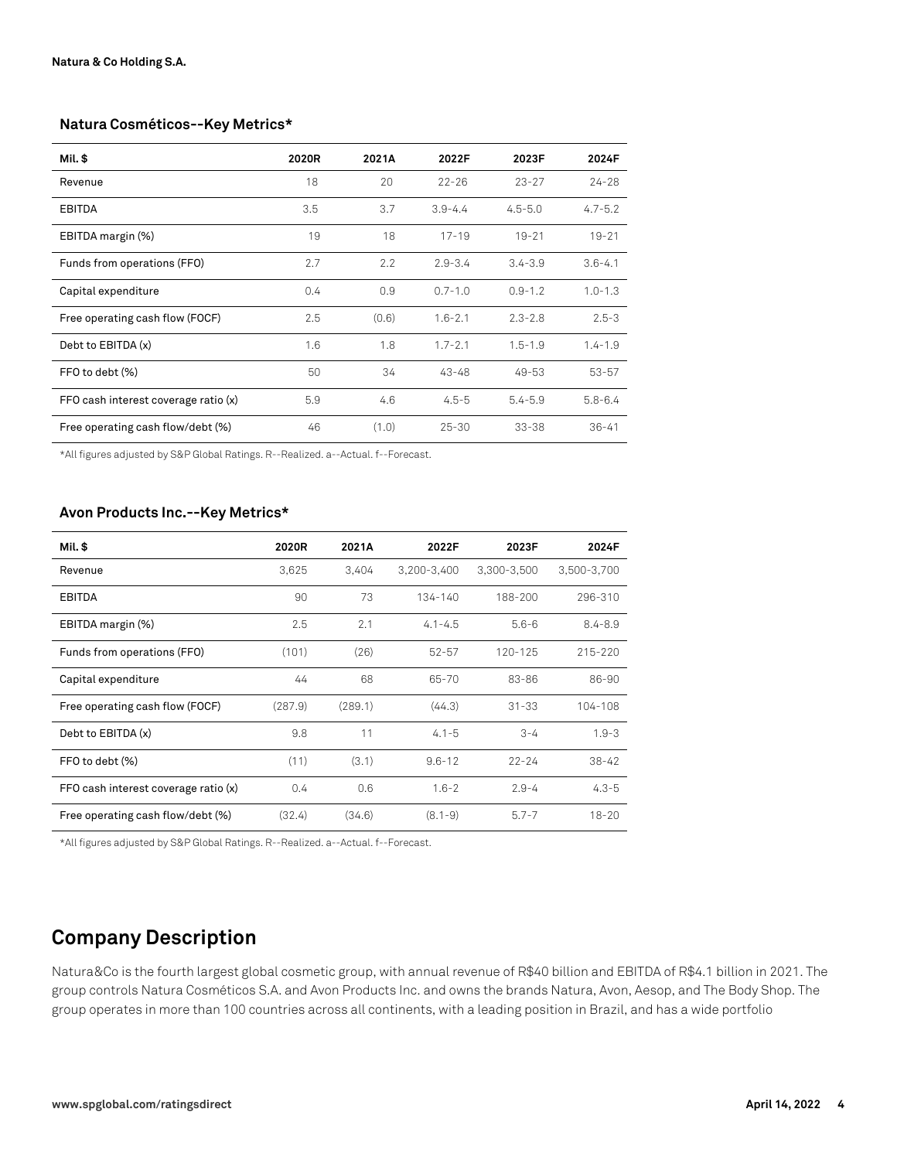#### **Natura Cosméticos--Key Metrics\***

| Mil. \$                              | 2020R | 2021A | 2022F       | 2023F       | 2024F       |
|--------------------------------------|-------|-------|-------------|-------------|-------------|
| Revenue                              | 18    | 20    | $22 - 26$   | $23 - 27$   | $24 - 28$   |
| <b>EBITDA</b>                        | 3.5   | 3.7   | $3.9 - 4.4$ | $4.5 - 5.0$ | $4.7 - 5.2$ |
| EBITDA margin (%)                    | 19    | 18    | $17 - 19$   | $19 - 21$   | $19 - 21$   |
| Funds from operations (FFO)          | 2.7   | 2.2   | $2.9 - 3.4$ | $3.4 - 3.9$ | $3.6 - 4.1$ |
| Capital expenditure                  | 0.4   | 0.9   | $0.7 - 1.0$ | $0.9 - 1.2$ | $1.0 - 1.3$ |
| Free operating cash flow (FOCF)      | 2.5   | (0.6) | $1.6 - 2.1$ | $2.3 - 2.8$ | $2.5 - 3$   |
| Debt to EBITDA (x)                   | 1.6   | 1.8   | $1.7 - 2.1$ | $1.5 - 1.9$ | $1.4 - 1.9$ |
| FFO to debt (%)                      | 50    | 34    | $43 - 48$   | 49-53       | $53 - 57$   |
| FFO cash interest coverage ratio (x) | 5.9   | 4.6   | $4.5 - 5$   | $5.4 - 5.9$ | $5.8 - 6.4$ |
| Free operating cash flow/debt (%)    | 46    | (1.0) | $25 - 30$   | $33 - 38$   | $36 - 41$   |

\*All figures adjusted by S&P Global Ratings. R--Realized. a--Actual. f--Forecast.

#### **Avon Products Inc.--Key Metrics\***

| Mil. \$                              | 2020R   | 2021A   | 2022F       | 2023F       | 2024F       |
|--------------------------------------|---------|---------|-------------|-------------|-------------|
| Revenue                              | 3,625   | 3.404   | 3,200-3,400 | 3,300-3,500 | 3,500-3,700 |
| EBITDA                               | 90      | 73      | 134-140     | 188-200     | 296-310     |
| EBITDA margin (%)                    | 2.5     | 2.1     | $4.1 - 4.5$ | $5.6 - 6$   | $8.4 - 8.9$ |
| Funds from operations (FFO)          | (101)   | (26)    | $52 - 57$   | 120-125     | 215-220     |
| Capital expenditure                  | 44      | 68      | 65-70       | 83-86       | 86-90       |
| Free operating cash flow (FOCF)      | (287.9) | (289.1) | (44.3)      | $31 - 33$   | 104-108     |
| Debt to EBITDA (x)                   | 9.8     | 11      | $4.1 - 5$   | $3 - 4$     | $1.9 - 3$   |
| FFO to debt (%)                      | (11)    | (3.1)   | $9.6 - 12$  | $22 - 24$   | $38 - 42$   |
| FFO cash interest coverage ratio (x) | 0.4     | 0.6     | $1.6 - 2$   | $2.9 - 4$   | $4.3 - 5$   |
| Free operating cash flow/debt (%)    | (32.4)  | (34.6)  | $(8.1 - 9)$ | $5.7 - 7$   | $18 - 20$   |

\*All figures adjusted by S&P Global Ratings. R--Realized. a--Actual. f--Forecast.

# **Company Description**

Natura&Co is the fourth largest global cosmetic group, with annual revenue of R\$40 billion and EBITDA of R\$4.1 billion in 2021. The group controls Natura Cosméticos S.A. and Avon Products Inc. and owns the brands Natura, Avon, Aesop, and The Body Shop. The group operates in more than 100 countries across all continents, with a leading position in Brazil, and has a wide portfolio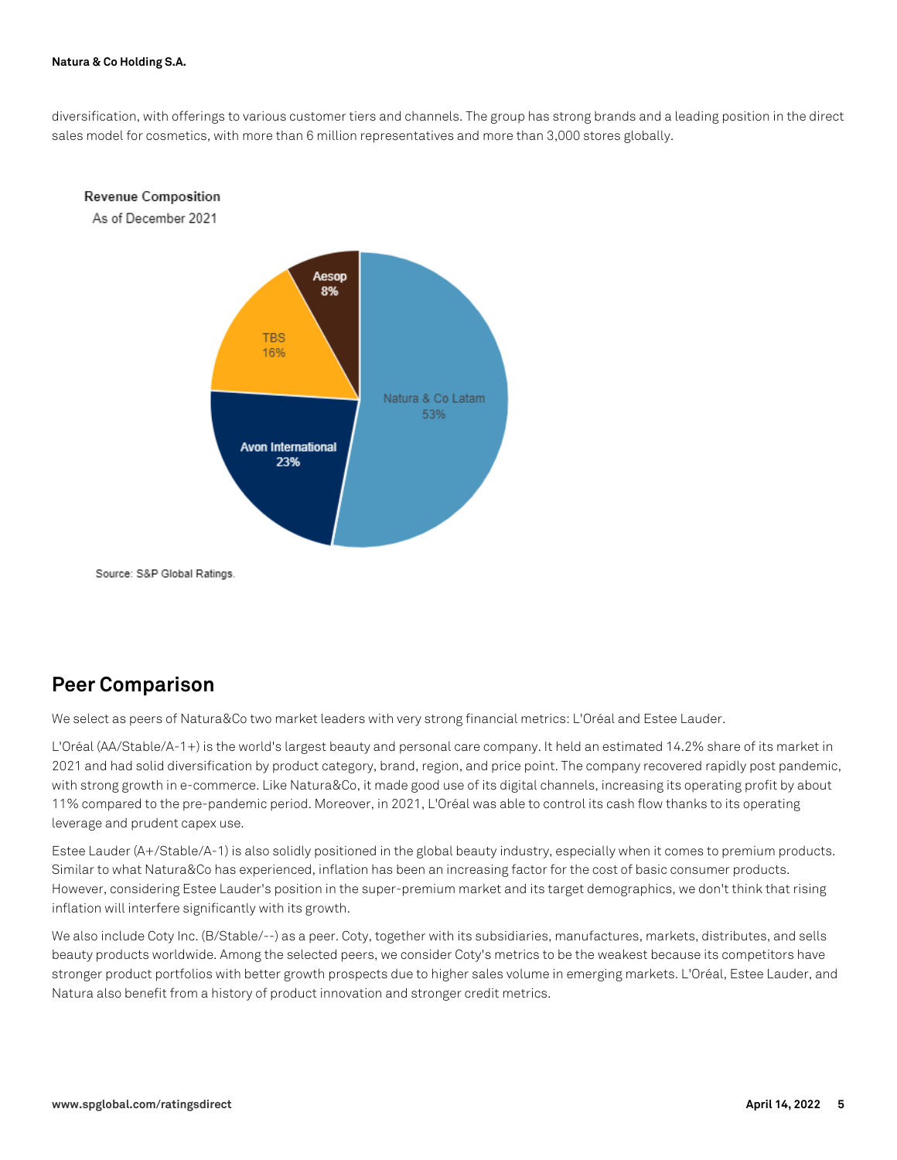diversification, with offerings to various customer tiers and channels. The group has strong brands and a leading position in the direct sales model for cosmetics, with more than 6 million representatives and more than 3,000 stores globally.



Source: S&P Global Ratings.

## **Peer Comparison**

We select as peers of Natura&Co two market leaders with very strong financial metrics: L'Oréal and Estee Lauder.

L'Oréal (AA/Stable/A-1+) is the world's largest beauty and personal care company. It held an estimated 14.2% share of its market in 2021 and had solid diversification by product category, brand, region, and price point. The company recovered rapidly post pandemic, with strong growth in e-commerce. Like Natura&Co, it made good use of its digital channels, increasing its operating profit by about 11% compared to the pre-pandemic period. Moreover, in 2021, L'Oréal was able to control its cash flow thanks to its operating leverage and prudent capex use.

Estee Lauder (A+/Stable/A-1) is also solidly positioned in the global beauty industry, especially when it comes to premium products. Similar to what Natura&Co has experienced, inflation has been an increasing factor for the cost of basic consumer products. However, considering Estee Lauder's position in the super-premium market and its target demographics, we don't think that rising inflation will interfere significantly with its growth.

We also include Coty Inc. (B/Stable/--) as a peer. Coty, together with its subsidiaries, manufactures, markets, distributes, and sells beauty products worldwide. Among the selected peers, we consider Coty's metrics to be the weakest because its competitors have stronger product portfolios with better growth prospects due to higher sales volume in emerging markets. L'Oréal, Estee Lauder, and Natura also benefit from a history of product innovation and stronger credit metrics.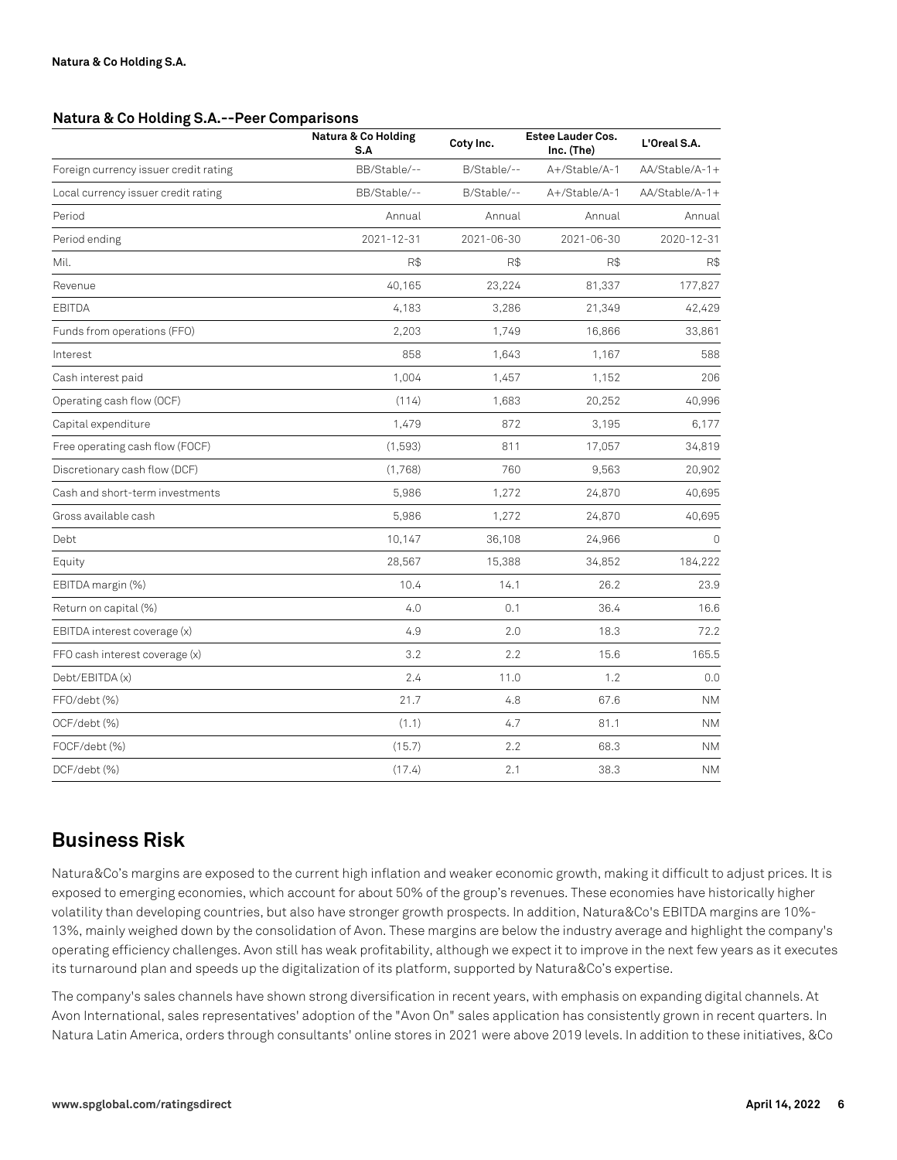#### **Natura & Co Holding S.A.--Peer Comparisons**

|                                       | Natura & Co Holding<br>S.A | Coty Inc.   | <b>Estee Lauder Cos.</b><br>Inc. (The) | L'Oreal S.A.   |
|---------------------------------------|----------------------------|-------------|----------------------------------------|----------------|
| Foreign currency issuer credit rating | BB/Stable/--               | B/Stable/-- | A+/Stable/A-1                          | AA/Stable/A-1+ |
| Local currency issuer credit rating   | BB/Stable/--               | B/Stable/-- | A+/Stable/A-1                          | AA/Stable/A-1+ |
| Period                                | Annual                     | Annual      | Annual                                 | Annual         |
| Period ending                         | $2021 - 12 - 31$           | 2021-06-30  | 2021-06-30                             | 2020-12-31     |
| Mil.                                  | R\$                        | R\$         | R\$                                    | R\$            |
| Revenue                               | 40,165                     | 23,224      | 81,337                                 | 177,827        |
| <b>EBITDA</b>                         | 4,183                      | 3,286       | 21,349                                 | 42,429         |
| Funds from operations (FFO)           | 2,203                      | 1,749       | 16,866                                 | 33,861         |
| Interest                              | 858                        | 1,643       | 1,167                                  | 588            |
| Cash interest paid                    | 1,004                      | 1,457       | 1,152                                  | 206            |
| Operating cash flow (OCF)             | (114)                      | 1,683       | 20,252                                 | 40,996         |
| Capital expenditure                   | 1,479                      | 872         | 3,195                                  | 6,177          |
| Free operating cash flow (FOCF)       | (1,593)                    | 811         | 17,057                                 | 34,819         |
| Discretionary cash flow (DCF)         | (1,768)                    | 760         | 9,563                                  | 20,902         |
| Cash and short-term investments       | 5,986                      | 1,272       | 24,870                                 | 40,695         |
| Gross available cash                  | 5,986                      | 1,272       | 24,870                                 | 40,695         |
| Debt                                  | 10,147                     | 36,108      | 24,966                                 | $\Omega$       |
| Equity                                | 28,567                     | 15,388      | 34,852                                 | 184,222        |
| EBITDA margin (%)                     | 10.4                       | 14.1        | 26.2                                   | 23.9           |
| Return on capital (%)                 | 4.0                        | 0.1         | 36.4                                   | 16.6           |
| EBITDA interest coverage (x)          | 4.9                        | 2.0         | 18.3                                   | 72.2           |
| FFO cash interest coverage (x)        | 3.2                        | 2.2         | 15.6                                   | 165.5          |
| Debt/EBITDA (x)                       | 2.4                        | 11.0        | 1.2                                    | 0.0            |
| FFO/debt (%)                          | 21.7                       | 4.8         | 67.6                                   | <b>NM</b>      |
| OCF/debt (%)                          | (1.1)                      | 4.7         | 81.1                                   | <b>NM</b>      |
| FOCF/debt (%)                         | (15.7)                     | 2.2         | 68.3                                   | <b>NM</b>      |
| DCF/debt (%)                          | (17.4)                     | 2.1         | 38.3                                   | <b>NM</b>      |

# **Business Risk**

Natura&Co's margins are exposed to the current high inflation and weaker economic growth, making it difficult to adjust prices. It is exposed to emerging economies, which account for about 50% of the group's revenues. These economies have historically higher volatility than developing countries, but also have stronger growth prospects. In addition, Natura&Co's EBITDA margins are 10%- 13%, mainly weighed down by the consolidation of Avon. These margins are below the industry average and highlight the company's operating efficiency challenges. Avon still has weak profitability, although we expect it to improve in the next few years as it executes its turnaround plan and speeds up the digitalization of its platform, supported by Natura&Co's expertise.

The company's sales channels have shown strong diversification in recent years, with emphasis on expanding digital channels. At Avon International, sales representatives' adoption of the "Avon On" sales application has consistently grown in recent quarters. In Natura Latin America, orders through consultants' online stores in 2021 were above 2019 levels. In addition to these initiatives, &Co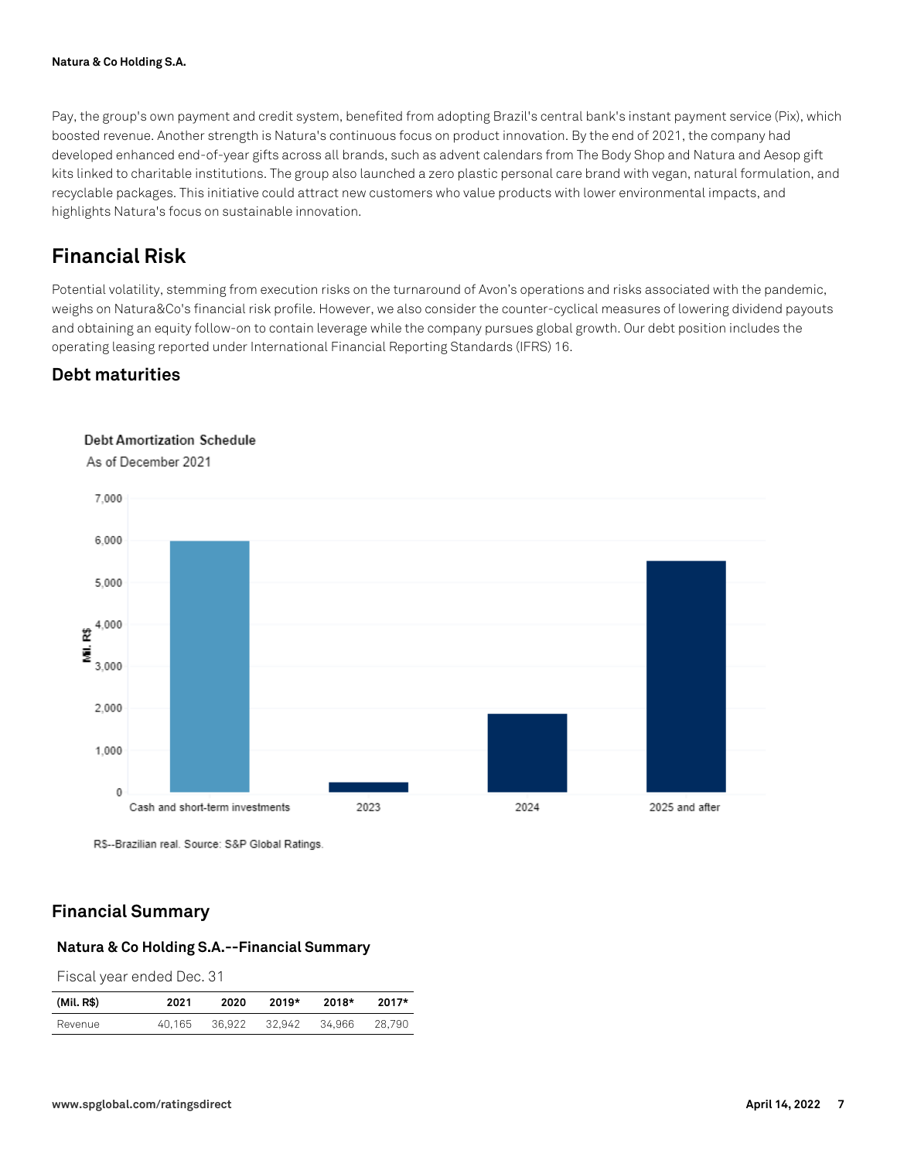Pay, the group's own payment and credit system, benefited from adopting Brazil's central bank's instant payment service (Pix), which boosted revenue. Another strength is Natura's continuous focus on product innovation. By the end of 2021, the company had developed enhanced end-of-year gifts across all brands, such as advent calendars from The Body Shop and Natura and Aesop gift kits linked to charitable institutions. The group also launched a zero plastic personal care brand with vegan, natural formulation, and recyclable packages. This initiative could attract new customers who value products with lower environmental impacts, and highlights Natura's focus on sustainable innovation.

# **Financial Risk**

Potential volatility, stemming from execution risks on the turnaround of Avon's operations and risks associated with the pandemic, weighs on Natura&Co's financial risk profile. However, we also consider the counter-cyclical measures of lowering dividend payouts and obtaining an equity follow-on to contain leverage while the company pursues global growth. Our debt position includes the operating leasing reported under International Financial Reporting Standards (IFRS) 16.

## **Debt maturities**



**Debt Amortization Schedule** 

R\$--Brazilian real. Source: S&P Global Ratings.

## **Financial Summary**

#### **Natura & Co Holding S.A.--Financial Summary**

Fiscal year ended Dec. 31

| (Mil. R\$) | 2021   | 2020   | 2019*  | 2018*  | 2017*  |
|------------|--------|--------|--------|--------|--------|
| Revenue    | 40.165 | 36.922 | 32,942 | 34.966 | 28.790 |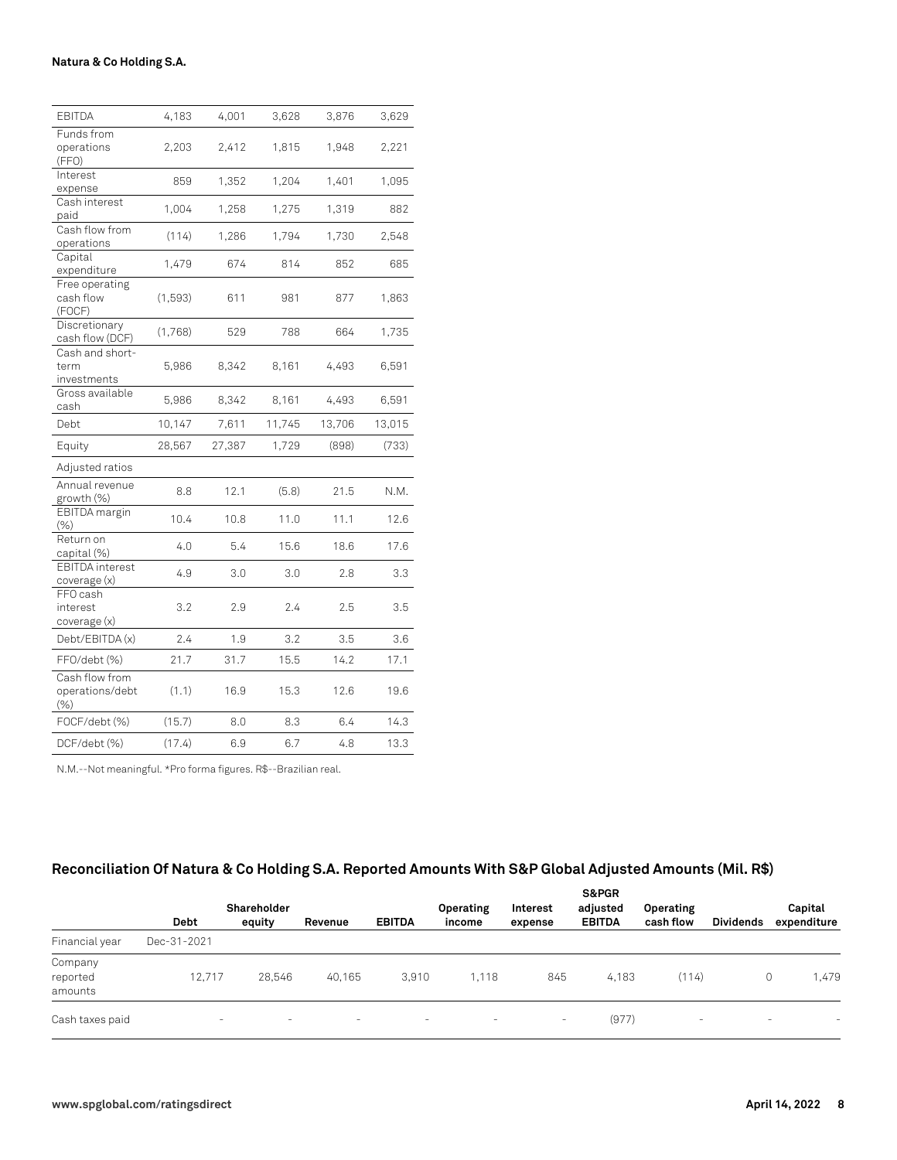| <b>EBITDA</b>                                | 4,183   | 4,001  | 3,628  | 3,876  | 3,629  |
|----------------------------------------------|---------|--------|--------|--------|--------|
| Funds from<br>operations<br>(FFO)            | 2,203   | 2,412  | 1,815  | 1,948  | 2,221  |
| Interest<br>expense                          | 859     | 1,352  | 1,204  | 1.401  | 1,095  |
| Cash interest<br>paid                        | 1,004   | 1,258  | 1,275  | 1,319  | 882    |
| Cash flow from<br>operations                 | (114)   | 1,286  | 1,794  | 1,730  | 2,548  |
| Capital<br>expenditure                       | 1,479   | 674    | 814    | 852    | 685    |
| Free operating<br>cash flow<br>(FOCF)        | (1,593) | 611    | 981    | 877    | 1,863  |
| Discretionary<br>cash flow (DCF)             | (1,768) | 529    | 788    | 664    | 1,735  |
| Cash and short-<br>term<br>investments       | 5,986   | 8,342  | 8,161  | 4,493  | 6,591  |
| Gross available<br>cash                      | 5,986   | 8,342  | 8,161  | 4,493  | 6,591  |
| Debt                                         | 10,147  | 7,611  | 11,745 | 13,706 | 13,015 |
| Equity                                       | 28,567  | 27,387 | 1,729  | (898)  | (733)  |
| Adjusted ratios                              |         |        |        |        |        |
| Annual revenue<br>growth (%)                 | 8.8     | 12.1   | (5.8)  | 21.5   | N.M.   |
| <b>EBITDA</b> margin<br>(% )                 | 10.4    | 10.8   | 11.0   | 11.1   | 12.6   |
| Return on<br>capital (%)                     | 4.0     | 5.4    | 15.6   | 18.6   | 17.6   |
| <b>EBITDA</b> interest<br>coverage (x)       | 4.9     | 3.0    | 3.0    | 2.8    | 3.3    |
| FFO cash<br>interest<br>coverage (x)         | 3.2     | 2.9    | 2.4    | 2.5    | 3.5    |
| Debt/EBITDA (x)                              | 2.4     | 1.9    | 3.2    | 3.5    | 3.6    |
| FFO/debt (%)                                 | 21.7    | 31.7   | 15.5   | 14.2   | 17.1   |
| Cash flow from<br>operations/debt<br>$(\% )$ | (1.1)   | 16.9   | 15.3   | 12.6   | 19.6   |
| FOCF/debt (%)                                | (15.7)  | 8.0    | 8.3    | 6.4    | 14.3   |
| DCF/debt (%)                                 | (17.4)  | 6.9    | 6.7    | 4.8    | 13.3   |

N.M.--Not meaningful. \*Pro forma figures. R\$--Brazilian real.

## **Reconciliation Of Natura & Co Holding S.A. Reported Amounts With S&P Global Adjusted Amounts (Mil. R\$)**

|                                |                          | Shareholder |         |                          | Operating | Interest | <b>S&amp;PGR</b><br>adjusted | Operating                |                  | Capital                  |
|--------------------------------|--------------------------|-------------|---------|--------------------------|-----------|----------|------------------------------|--------------------------|------------------|--------------------------|
|                                | <b>Debt</b>              | equity      | Revenue | <b>EBITDA</b>            | income    | expense  | <b>EBITDA</b>                | cash flow                | <b>Dividends</b> | expenditure              |
| Financial year                 | Dec-31-2021              |             |         |                          |           |          |                              |                          |                  |                          |
| Company<br>reported<br>amounts | 12.717                   | 28,546      | 40.165  | 3.910                    | 1.118     | 845      | 4.183                        | (114)                    |                  | 1,479<br>$\circ$         |
| Cash taxes paid                | $\overline{\phantom{a}}$ | $\sim$      | $\sim$  | $\overline{\phantom{a}}$ | $\sim$    | $\sim$   | (977)                        | $\overline{\phantom{a}}$ |                  | $\overline{\phantom{a}}$ |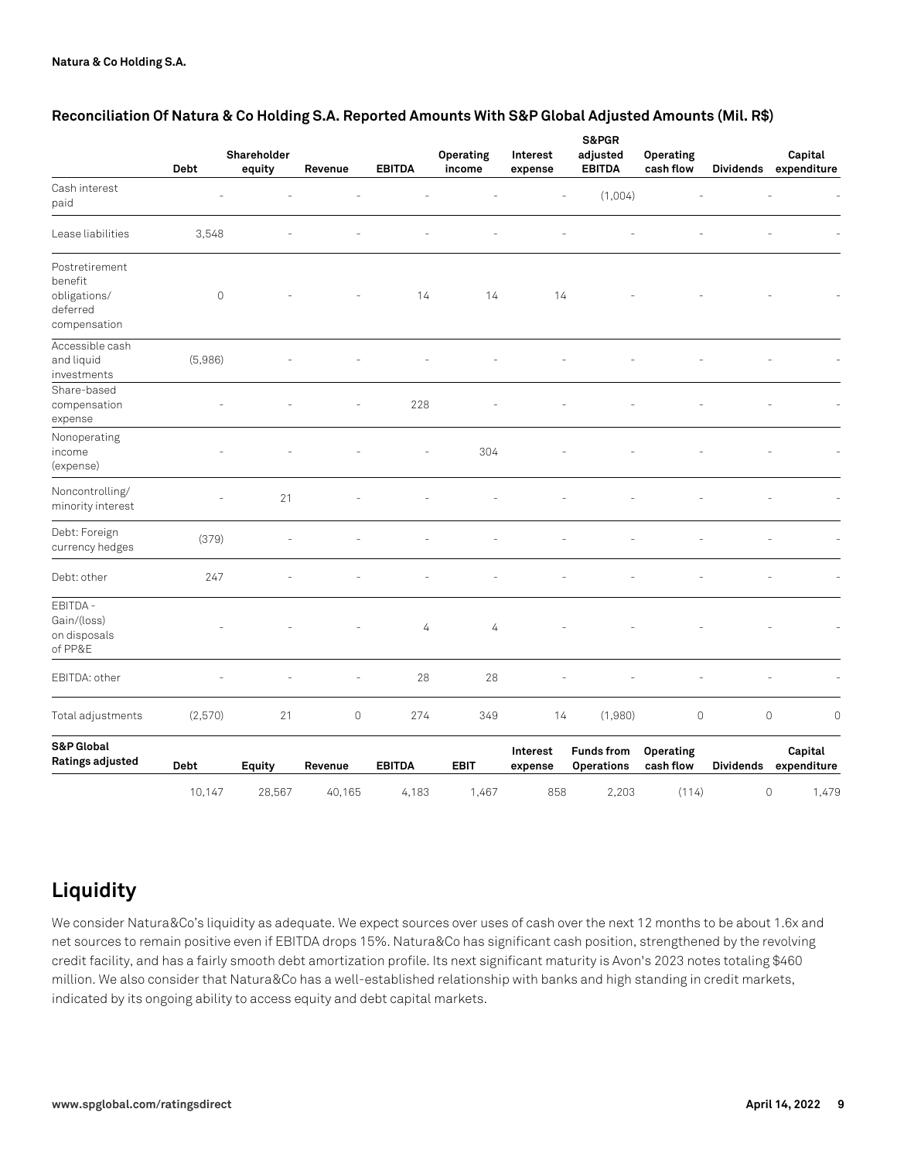|                                                                       | Debt        | Shareholder<br>equity | Revenue                  | <b>EBITDA</b> | Operating<br>income | Interest<br>expense | S&PGR<br>adjusted<br><b>EBITDA</b>     | Operating<br>cash flow | <b>Dividends</b>    | Capital<br>expenditure |
|-----------------------------------------------------------------------|-------------|-----------------------|--------------------------|---------------|---------------------|---------------------|----------------------------------------|------------------------|---------------------|------------------------|
| Cash interest<br>paid                                                 |             |                       |                          |               |                     | L,                  | (1,004)                                |                        |                     |                        |
| Lease liabilities                                                     | 3,548       |                       |                          |               |                     |                     |                                        |                        |                     |                        |
| Postretirement<br>benefit<br>obligations/<br>deferred<br>compensation | $\mathbb O$ |                       |                          | 14            | 14                  | 14                  |                                        |                        |                     |                        |
| Accessible cash<br>and liquid<br>investments                          | (5,986)     |                       |                          |               |                     |                     |                                        |                        |                     |                        |
| Share-based<br>compensation<br>expense                                |             |                       | $\overline{\phantom{a}}$ | 228           |                     |                     |                                        |                        |                     |                        |
| Nonoperating<br>income<br>(expense)                                   |             |                       |                          |               | 304                 |                     |                                        |                        |                     |                        |
| Noncontrolling/<br>minority interest                                  |             | 21                    |                          |               |                     |                     |                                        |                        |                     |                        |
| Debt: Foreign<br>currency hedges                                      | (379)       |                       |                          |               |                     |                     |                                        |                        |                     |                        |
| Debt: other                                                           | 247         |                       |                          |               |                     |                     |                                        |                        |                     |                        |
| EBITDA -<br>Gain/(loss)<br>on disposals<br>of PP&E                    |             |                       |                          | 4             | 4                   |                     |                                        |                        |                     |                        |
| EBITDA: other                                                         |             |                       |                          | 28            | 28                  |                     |                                        |                        |                     |                        |
| Total adjustments                                                     | (2,570)     | 21                    | $\mathsf O$              | 274           | 349                 | 14                  | (1,980)                                | $\circ$                | $\mathsf{O}\xspace$ | $\mathbf 0$            |
| S&P Global<br>Ratings adjusted                                        | Debt        | Equity                | Revenue                  | <b>EBITDA</b> | <b>EBIT</b>         | Interest<br>expense | <b>Funds from</b><br><b>Operations</b> | Operating<br>cash flow | <b>Dividends</b>    | Capital<br>expenditure |
|                                                                       | 10,147      | 28,567                | 40,165                   | 4,183         | 1,467               | 858                 | 2,203                                  | (114)                  | $\circ$             | 1,479                  |

#### **Reconciliation Of Natura & Co Holding S.A. Reported Amounts With S&P Global Adjusted Amounts (Mil. R\$)**

# **Liquidity**

We consider Natura&Co's liquidity as adequate. We expect sources over uses of cash over the next 12 months to be about 1.6x and net sources to remain positive even if EBITDA drops 15%. Natura&Co has significant cash position, strengthened by the revolving credit facility, and has a fairly smooth debt amortization profile. Its next significant maturity is Avon's 2023 notes totaling \$460 million. We also consider that Natura&Co has a well-established relationship with banks and high standing in credit markets, indicated by its ongoing ability to access equity and debt capital markets.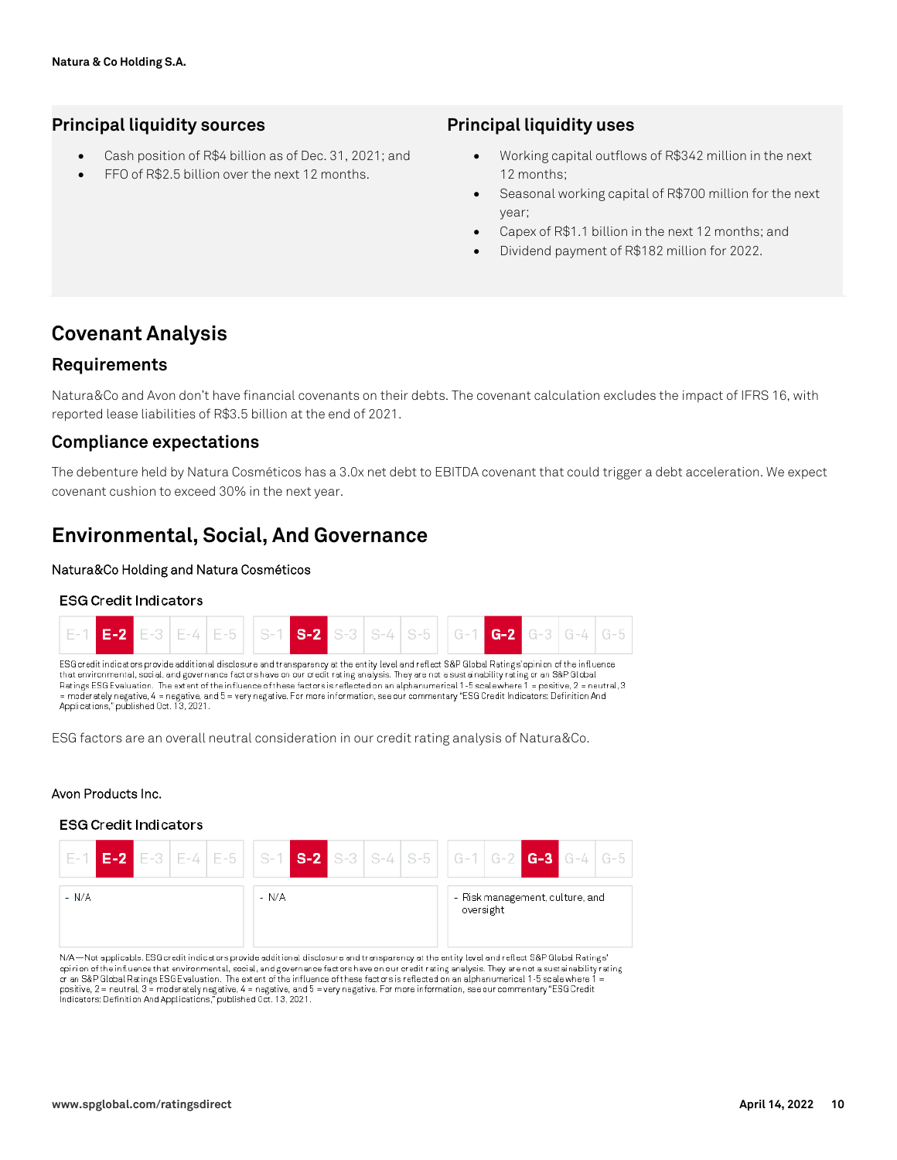## **Principal liquidity sources**

- Cash position of R\$4 billion as of Dec. 31, 2021; and
- FFO of R\$2.5 billion over the next 12 months.

### **Principal liquidity uses**

- Working capital outflows of R\$342 million in the next 12 months;
- Seasonal working capital of R\$700 million for the next year;
- Capex of R\$1.1 billion in the next 12 months; and
- Dividend payment of R\$182 million for 2022.

# **Covenant Analysis**

#### **Requirements**

Natura&Co and Avon don't have financial covenants on their debts. The covenant calculation excludes the impact of IFRS 16, with reported lease liabilities of R\$3.5 billion at the end of 2021.

#### **Compliance expectations**

The debenture held by Natura Cosméticos has a 3.0x net debt to EBITDA covenant that could trigger a debt acceleration. We expect covenant cushion to exceed 30% in the next year.

## **Environmental, Social, And Governance**

#### **Natura&Co Holding and Natura Cosméticos**

#### **ESG Credit Indicators**



ESG factors are an overall neutral consideration in our credit rating analysis of Natura&Co.

#### **Avon Products Inc.**

#### **ESG Credit Indicators**



N/A—Not applicable. ESG credit indicators provide additional disclosure and transparency at the entity level and reflect S&P Global Ratings' opinion of the influence that environmental, social, and governance factors have on our credit rating analysis. They are not a sustainability rating<br>or an S&P Global Ratings ESG Evaluation. The extent of the influence of t positive, 2 = neutral, 3 = moderately negative, 4 = negative, and 5 = very negative. For more information, see our commentary "ESG Credit Indicators: Definition And Applications," published Oct. 13, 2021.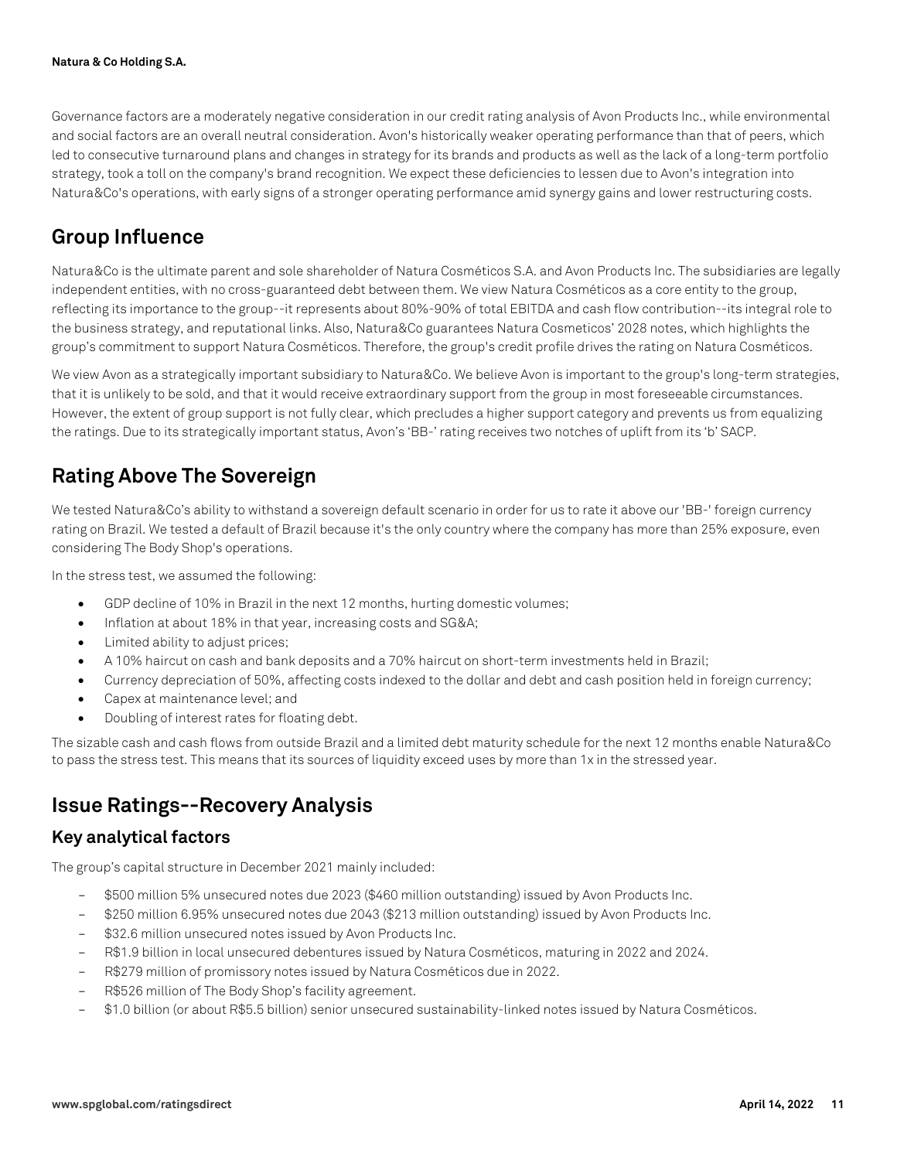Governance factors are a moderately negative consideration in our credit rating analysis of Avon Products Inc., while environmental and social factors are an overall neutral consideration. Avon's historically weaker operating performance than that of peers, which led to consecutive turnaround plans and changes in strategy for its brands and products as well as the lack of a long-term portfolio strategy, took a toll on the company's brand recognition. We expect these deficiencies to lessen due to Avon's integration into Natura&Co's operations, with early signs of a stronger operating performance amid synergy gains and lower restructuring costs.

# **Group Influence**

Natura&Co is the ultimate parent and sole shareholder of Natura Cosméticos S.A. and Avon Products Inc. The subsidiaries are legally independent entities, with no cross-guaranteed debt between them. We view Natura Cosméticos as a core entity to the group, reflecting its importance to the group--it represents about 80%-90% of total EBITDA and cash flow contribution--its integral role to the business strategy, and reputational links. Also, Natura&Co guarantees Natura Cosmeticos' 2028 notes, which highlights the group's commitment to support Natura Cosméticos. Therefore, the group's credit profile drives the rating on Natura Cosméticos.

We view Avon as a strategically important subsidiary to Natura&Co. We believe Avon is important to the group's long-term strategies, that it is unlikely to be sold, and that it would receive extraordinary support from the group in most foreseeable circumstances. However, the extent of group support is not fully clear, which precludes a higher support category and prevents us from equalizing the ratings. Due to its strategically important status, Avon's 'BB-' rating receives two notches of uplift from its 'b' SACP.

# **Rating Above The Sovereign**

We tested Natura&Co's ability to withstand a sovereign default scenario in order for us to rate it above our 'BB-' foreign currency rating on Brazil. We tested a default of Brazil because it's the only country where the company has more than 25% exposure, even considering The Body Shop's operations.

In the stress test, we assumed the following:

- GDP decline of 10% in Brazil in the next 12 months, hurting domestic volumes;
- Inflation at about 18% in that year, increasing costs and SG&A;
- Limited ability to adjust prices;
- A 10% haircut on cash and bank deposits and a 70% haircut on short-term investments held in Brazil;
- Currency depreciation of 50%, affecting costs indexed to the dollar and debt and cash position held in foreign currency;
- Capex at maintenance level; and
- Doubling of interest rates for floating debt.

The sizable cash and cash flows from outside Brazil and a limited debt maturity schedule for the next 12 months enable Natura&Co to pass the stress test. This means that its sources of liquidity exceed uses by more than 1x in the stressed year.

# **Issue Ratings--Recovery Analysis**

## **Key analytical factors**

The group's capital structure in December 2021 mainly included:

- \$500 million 5% unsecured notes due 2023 (\$460 million outstanding) issued by Avon Products Inc.
- \$250 million 6.95% unsecured notes due 2043 (\$213 million outstanding) issued by Avon Products Inc.
- \$32.6 million unsecured notes issued by Avon Products Inc.
- R\$1.9 billion in local unsecured debentures issued by Natura Cosméticos, maturing in 2022 and 2024.
- R\$279 million of promissory notes issued by Natura Cosméticos due in 2022.
- R\$526 million of The Body Shop's facility agreement.
- \$1.0 billion (or about R\$5.5 billion) senior unsecured sustainability-linked notes issued by Natura Cosméticos.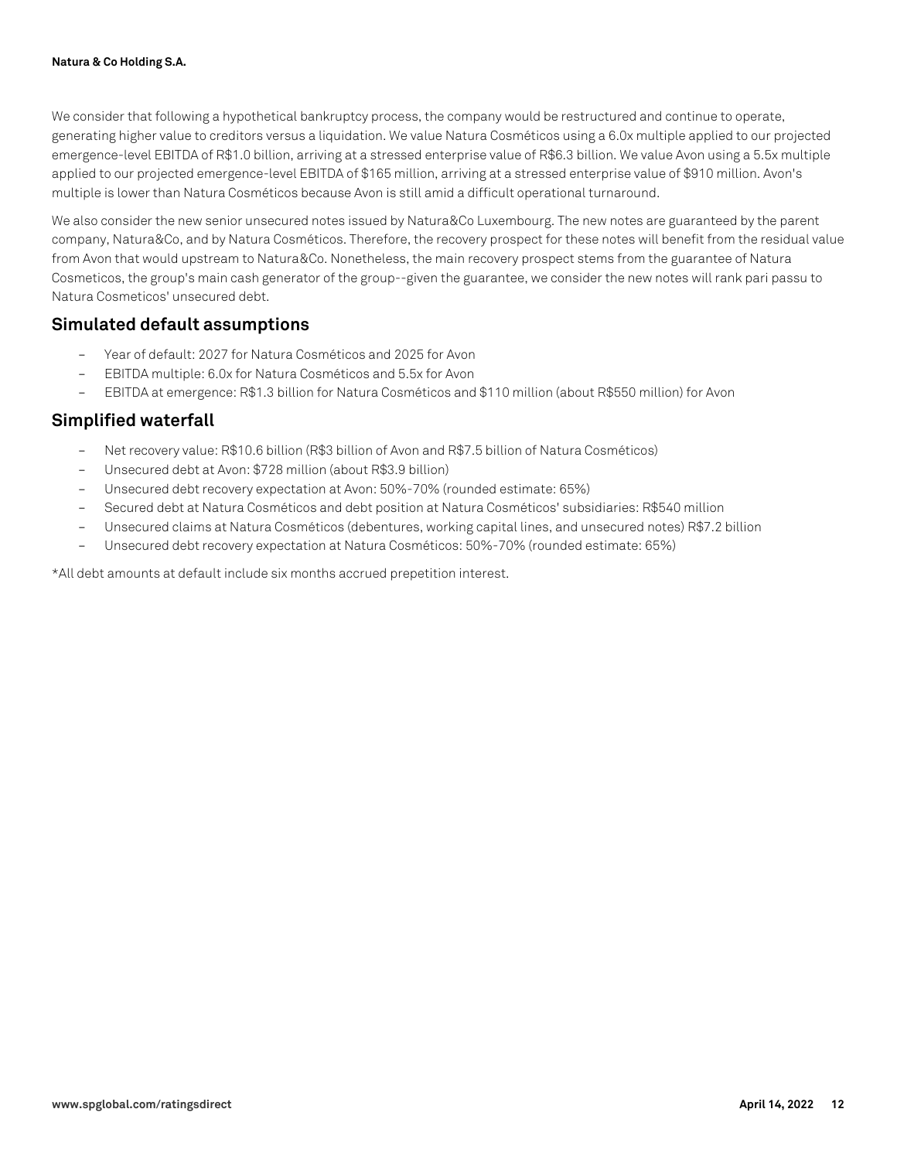We consider that following a hypothetical bankruptcy process, the company would be restructured and continue to operate, generating higher value to creditors versus a liquidation. We value Natura Cosméticos using a 6.0x multiple applied to our projected emergence-level EBITDA of R\$1.0 billion, arriving at a stressed enterprise value of R\$6.3 billion. We value Avon using a 5.5x multiple applied to our projected emergence-level EBITDA of \$165 million, arriving at a stressed enterprise value of \$910 million. Avon's multiple is lower than Natura Cosméticos because Avon is still amid a difficult operational turnaround.

We also consider the new senior unsecured notes issued by Natura&Co Luxembourg. The new notes are guaranteed by the parent company, Natura&Co, and by Natura Cosméticos. Therefore, the recovery prospect for these notes will benefit from the residual value from Avon that would upstream to Natura&Co. Nonetheless, the main recovery prospect stems from the guarantee of Natura Cosmeticos, the group's main cash generator of the group--given the guarantee, we consider the new notes will rank pari passu to Natura Cosmeticos' unsecured debt.

## **Simulated default assumptions**

- Year of default: 2027 for Natura Cosméticos and 2025 for Avon
- EBITDA multiple: 6.0x for Natura Cosméticos and 5.5x for Avon
- EBITDA at emergence: R\$1.3 billion for Natura Cosméticos and \$110 million (about R\$550 million) for Avon

## **Simplified waterfall**

- Net recovery value: R\$10.6 billion (R\$3 billion of Avon and R\$7.5 billion of Natura Cosméticos)
- Unsecured debt at Avon: \$728 million (about R\$3.9 billion)
- Unsecured debt recovery expectation at Avon: 50%-70% (rounded estimate: 65%)
- Secured debt at Natura Cosméticos and debt position at Natura Cosméticos' subsidiaries: R\$540 million
- Unsecured claims at Natura Cosméticos (debentures, working capital lines, and unsecured notes) R\$7.2 billion
- Unsecured debt recovery expectation at Natura Cosméticos: 50%-70% (rounded estimate: 65%)

\*All debt amounts at default include six months accrued prepetition interest.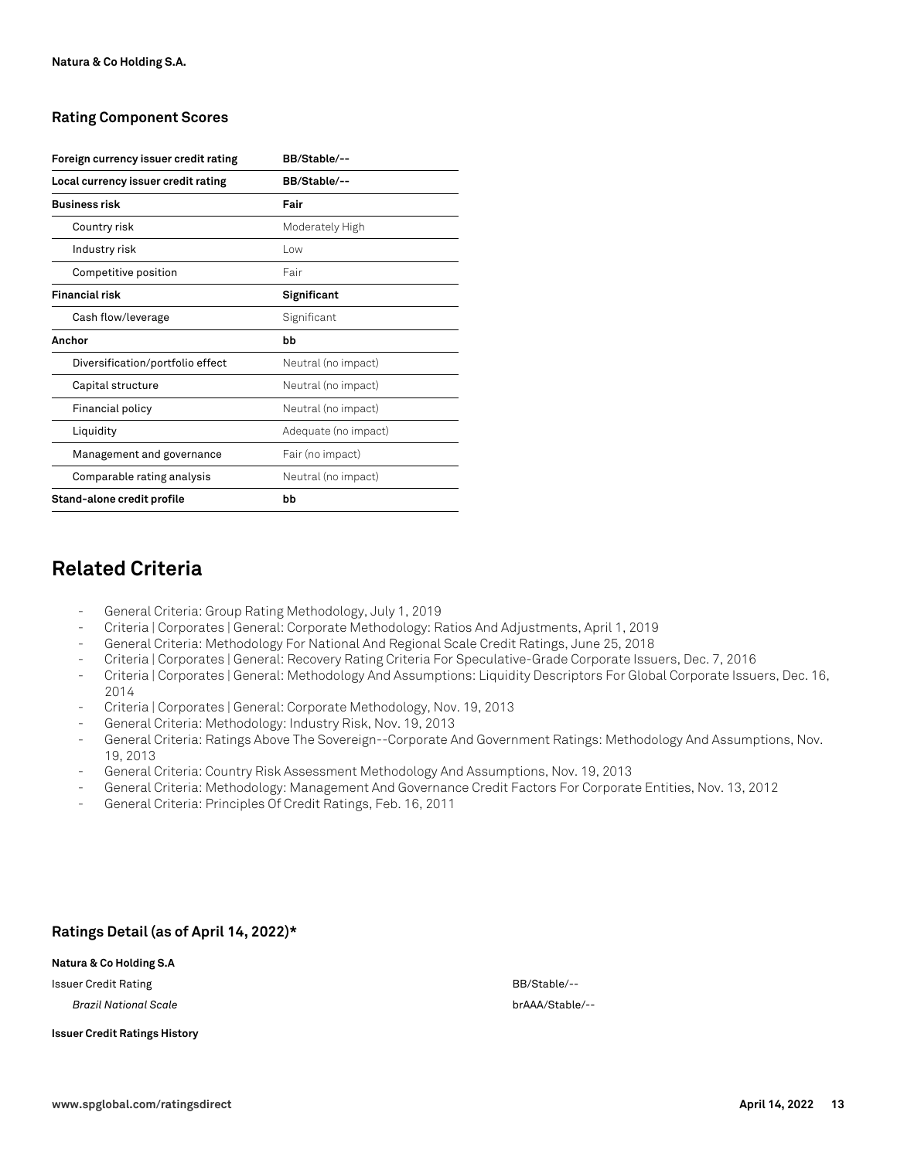#### **Rating Component Scores**

| Foreign currency issuer credit rating | BB/Stable/--         |
|---------------------------------------|----------------------|
| Local currency issuer credit rating   | BB/Stable/--         |
| <b>Business risk</b>                  | Fair                 |
| Country risk                          | Moderately High      |
| Industry risk                         | l ow                 |
| Competitive position                  | Fair                 |
| <b>Financial risk</b>                 | Significant          |
| Cash flow/leverage                    | Significant          |
| Anchor                                | bb                   |
| Diversification/portfolio effect      | Neutral (no impact)  |
| Capital structure                     | Neutral (no impact)  |
| Financial policy                      | Neutral (no impact)  |
| Liquidity                             | Adequate (no impact) |
| Management and governance             | Fair (no impact)     |
| Comparable rating analysis            | Neutral (no impact)  |
| Stand-alone credit profile            | bb                   |

## **Related Criteria**

- General Criteria: Group Rating Methodology, July 1, 2019
- Criteria | Corporates | General: Corporate Methodology: Ratios And Adjustments, April 1, 2019
- General Criteria: Methodology For National And Regional Scale Credit Ratings, June 25, 2018
- Criteria | Corporates | General: Recovery Rating Criteria For Speculative-Grade Corporate Issuers, Dec. 7, 2016
- Criteria | Corporates | General: Methodology And Assumptions: Liquidity Descriptors For Global Corporate Issuers, Dec. 16, 2014
- Criteria | Corporates | General: Corporate Methodology, Nov. 19, 2013
- General Criteria: Methodology: Industry Risk, Nov. 19, 2013
- General Criteria: Ratings Above The Sovereign--Corporate And Government Ratings: Methodology And Assumptions, Nov. 19, 2013
- General Criteria: Country Risk Assessment Methodology And Assumptions, Nov. 19, 2013
- General Criteria: Methodology: Management And Governance Credit Factors For Corporate Entities, Nov. 13, 2012
- General Criteria: Principles Of Credit Ratings, Feb. 16, 2011

#### **Ratings Detail (as of April 14, 2022)\***

#### **Natura & Co Holding S.A**

Issuer Credit Rating BB/Stable/--

*Brazil National Scale* brAAA/Stable/--

#### **Issuer Credit Ratings History**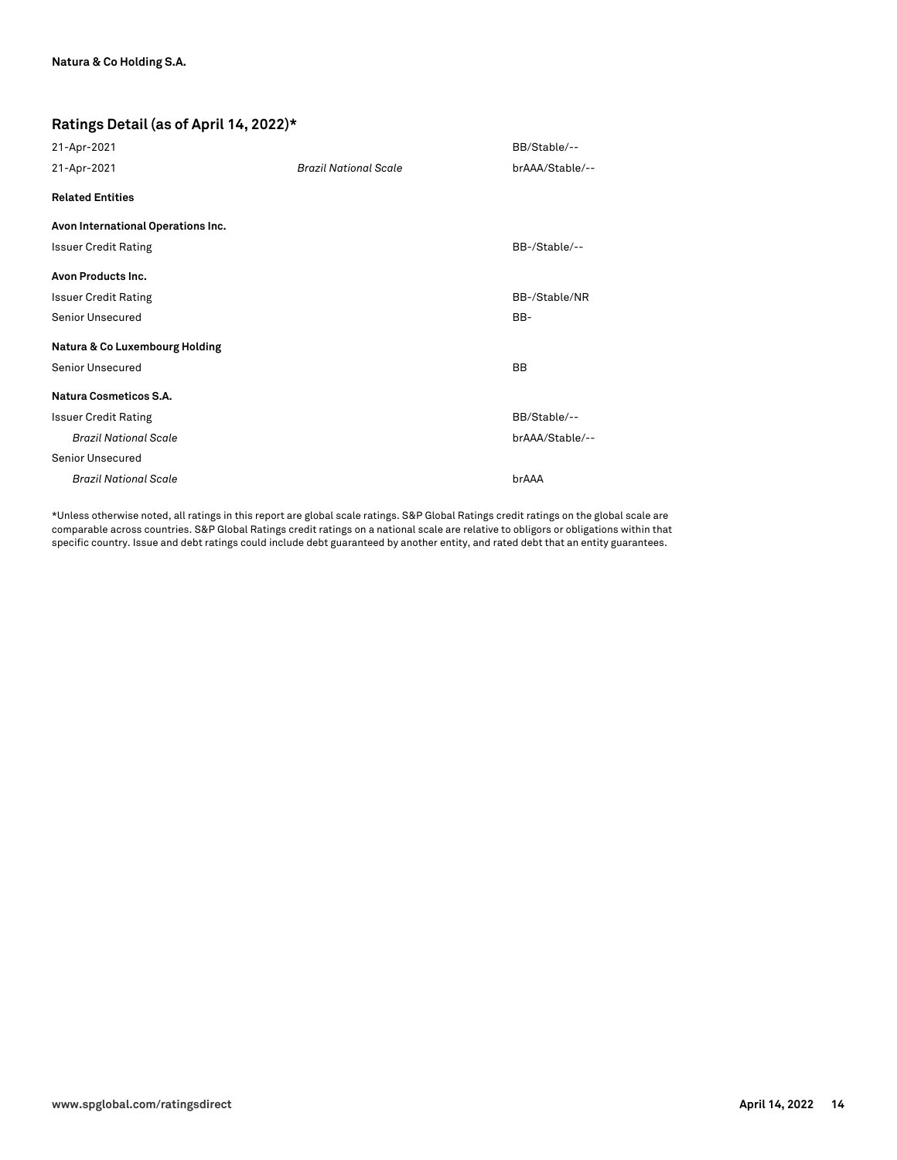#### **Ratings Detail (as of April 14, 2022)\***

| 21-Apr-2021                        |                              | BB/Stable/--    |
|------------------------------------|------------------------------|-----------------|
| 21-Apr-2021                        | <b>Brazil National Scale</b> | brAAA/Stable/-- |
| <b>Related Entities</b>            |                              |                 |
| Avon International Operations Inc. |                              |                 |
| <b>Issuer Credit Rating</b>        |                              | BB-/Stable/--   |
| Avon Products Inc.                 |                              |                 |
| <b>Issuer Credit Rating</b>        |                              | BB-/Stable/NR   |
| <b>Senior Unsecured</b>            |                              | BB-             |
| Natura & Co Luxembourg Holding     |                              |                 |
| <b>Senior Unsecured</b>            |                              | <b>BB</b>       |
| Natura Cosmeticos S.A.             |                              |                 |
| <b>Issuer Credit Rating</b>        |                              | BB/Stable/--    |
| <b>Brazil National Scale</b>       |                              | brAAA/Stable/-- |
| <b>Senior Unsecured</b>            |                              |                 |
| <b>Brazil National Scale</b>       |                              | brAAA           |
|                                    |                              |                 |

\*Unless otherwise noted, all ratings in this report are global scale ratings. S&P Global Ratings credit ratings on the global scale are comparable across countries. S&P Global Ratings credit ratings on a national scale are relative to obligors or obligations within that specific country. Issue and debt ratings could include debt guaranteed by another entity, and rated debt that an entity guarantees.